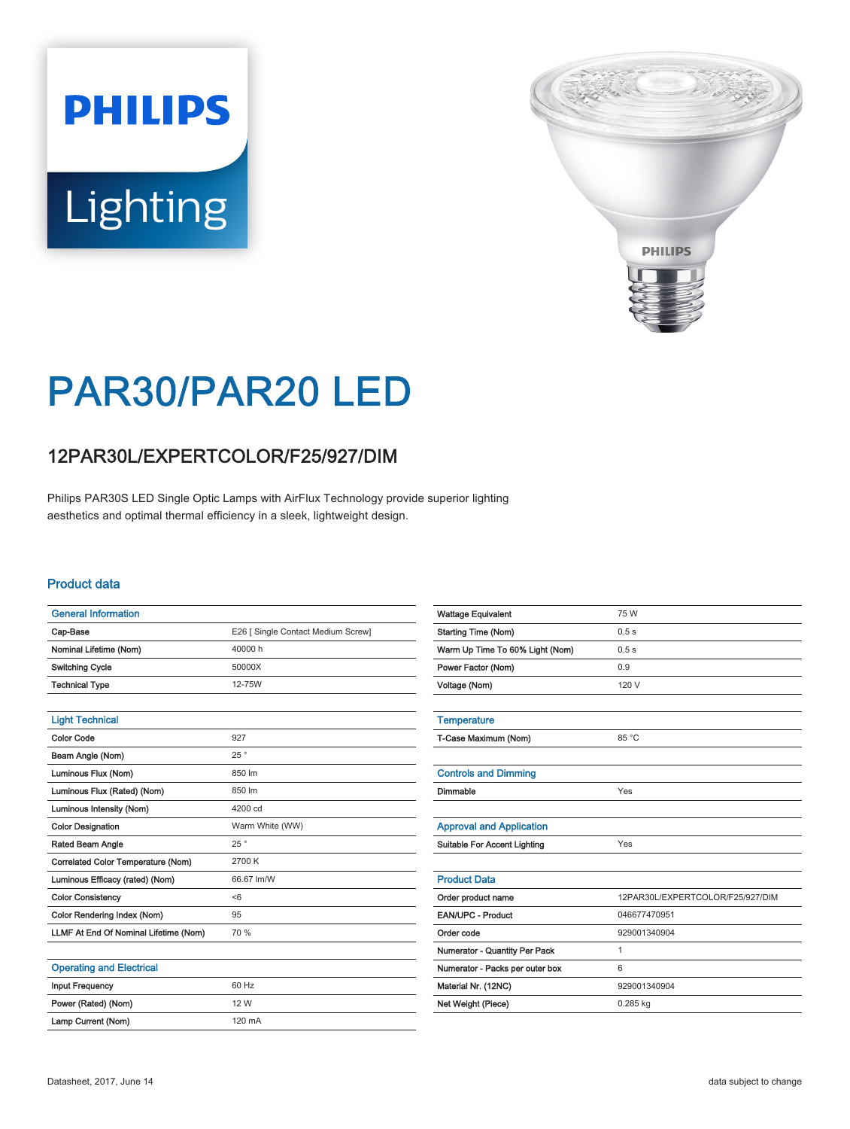# **PHILIPS** Lighting



## PAR30/PAR20 LED

### 12PAR30L/EXPERTCOLOR/F25/927/DIM

Philips PAR30S LED Single Optic Lamps with AirFlux Technology provide superior lighting aesthetics and optimal thermal efficiency in a sleek, lightweight design.

#### Product data

| <b>General Information</b>            |                                    |
|---------------------------------------|------------------------------------|
| Cap-Base                              | E26 [ Single Contact Medium Screw] |
| Nominal Lifetime (Nom)                | 40000 h                            |
| <b>Switching Cycle</b>                | 50000X                             |
| <b>Technical Type</b>                 | 12-75W                             |
|                                       |                                    |
| <b>Light Technical</b>                |                                    |
| <b>Color Code</b>                     | 927                                |
| Beam Angle (Nom)                      | 25°                                |
| Luminous Flux (Nom)                   | 850 lm                             |
| Luminous Flux (Rated) (Nom)           | 850 lm                             |
| Luminous Intensity (Nom)              | 4200 cd                            |
| <b>Color Designation</b>              | Warm White (WW)                    |
| Rated Beam Angle                      | 25°                                |
| Correlated Color Temperature (Nom)    | 2700 K                             |
| Luminous Efficacy (rated) (Nom)       | 66.67 lm/W                         |
| <b>Color Consistency</b>              | <6                                 |
| Color Rendering Index (Nom)           | 95                                 |
| LLMF At End Of Nominal Lifetime (Nom) | 70 %                               |
|                                       |                                    |
| <b>Operating and Electrical</b>       |                                    |
| <b>Input Frequency</b>                | 60 Hz                              |

| <b>Wattage Equivalent</b>           | 75 W                             |
|-------------------------------------|----------------------------------|
| <b>Starting Time (Nom)</b>          | 0.5s                             |
| Warm Up Time To 60% Light (Nom)     | 0.5s                             |
| Power Factor (Nom)                  | 0.9                              |
| Voltage (Nom)                       | 120 V                            |
|                                     |                                  |
| <b>Temperature</b>                  |                                  |
| T-Case Maximum (Nom)                | 85 °C                            |
|                                     |                                  |
| <b>Controls and Dimming</b>         |                                  |
| Dimmable                            | Yes                              |
|                                     |                                  |
| <b>Approval and Application</b>     |                                  |
| <b>Suitable For Accent Lighting</b> | Yes                              |
|                                     |                                  |
| <b>Product Data</b>                 |                                  |
| Order product name                  | 12PAR30L/EXPERTCOLOR/F25/927/DIM |
| EAN/UPC - Product                   | 046677470951                     |
| Order code                          | 929001340904                     |
| Numerator - Quantity Per Pack       | $\mathbf{1}$                     |
| Numerator - Packs per outer box     | 6                                |
| Material Nr. (12NC)                 | 929001340904                     |
| Net Weight (Piece)                  | 0.285 kg                         |
|                                     |                                  |

Power (Rated) (Nom) 12 W Lamp Current (Nom) 120 mA